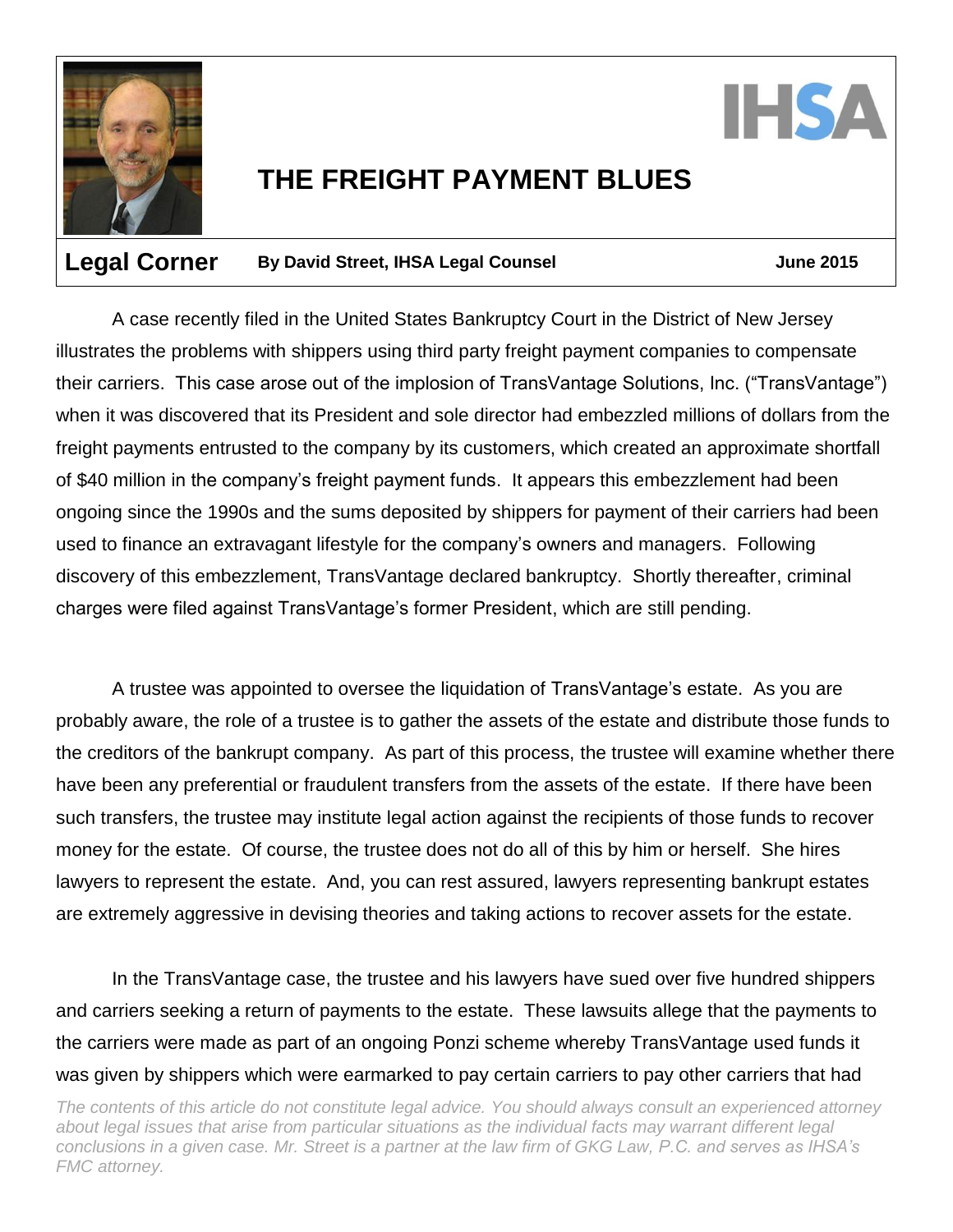



## **THE FREIGHT PAYMENT BLUES**

## **Legal Corner** By David Street, IHSA Legal Counsel **Figure** 3015

A case recently filed in the United States Bankruptcy Court in the District of New Jersey illustrates the problems with shippers using third party freight payment companies to compensate their carriers. This case arose out of the implosion of TransVantage Solutions, Inc. ("TransVantage") when it was discovered that its President and sole director had embezzled millions of dollars from the freight payments entrusted to the company by its customers, which created an approximate shortfall of \$40 million in the company's freight payment funds. It appears this embezzlement had been ongoing since the 1990s and the sums deposited by shippers for payment of their carriers had been used to finance an extravagant lifestyle for the company's owners and managers. Following discovery of this embezzlement, TransVantage declared bankruptcy. Shortly thereafter, criminal charges were filed against TransVantage's former President, which are still pending.

A trustee was appointed to oversee the liquidation of TransVantage's estate. As you are probably aware, the role of a trustee is to gather the assets of the estate and distribute those funds to the creditors of the bankrupt company. As part of this process, the trustee will examine whether there have been any preferential or fraudulent transfers from the assets of the estate. If there have been such transfers, the trustee may institute legal action against the recipients of those funds to recover money for the estate. Of course, the trustee does not do all of this by him or herself. She hires lawyers to represent the estate. And, you can rest assured, lawyers representing bankrupt estates are extremely aggressive in devising theories and taking actions to recover assets for the estate.

In the TransVantage case, the trustee and his lawyers have sued over five hundred shippers and carriers seeking a return of payments to the estate. These lawsuits allege that the payments to the carriers were made as part of an ongoing Ponzi scheme whereby TransVantage used funds it was given by shippers which were earmarked to pay certain carriers to pay other carriers that had

*The contents of this article do not constitute legal advice. You should always consult an experienced attorney about legal issues that arise from particular situations as the individual facts may warrant different legal conclusions in a given case. Mr. Street is a partner at the law firm of GKG Law, P.C. and serves as IHSA's FMC attorney.*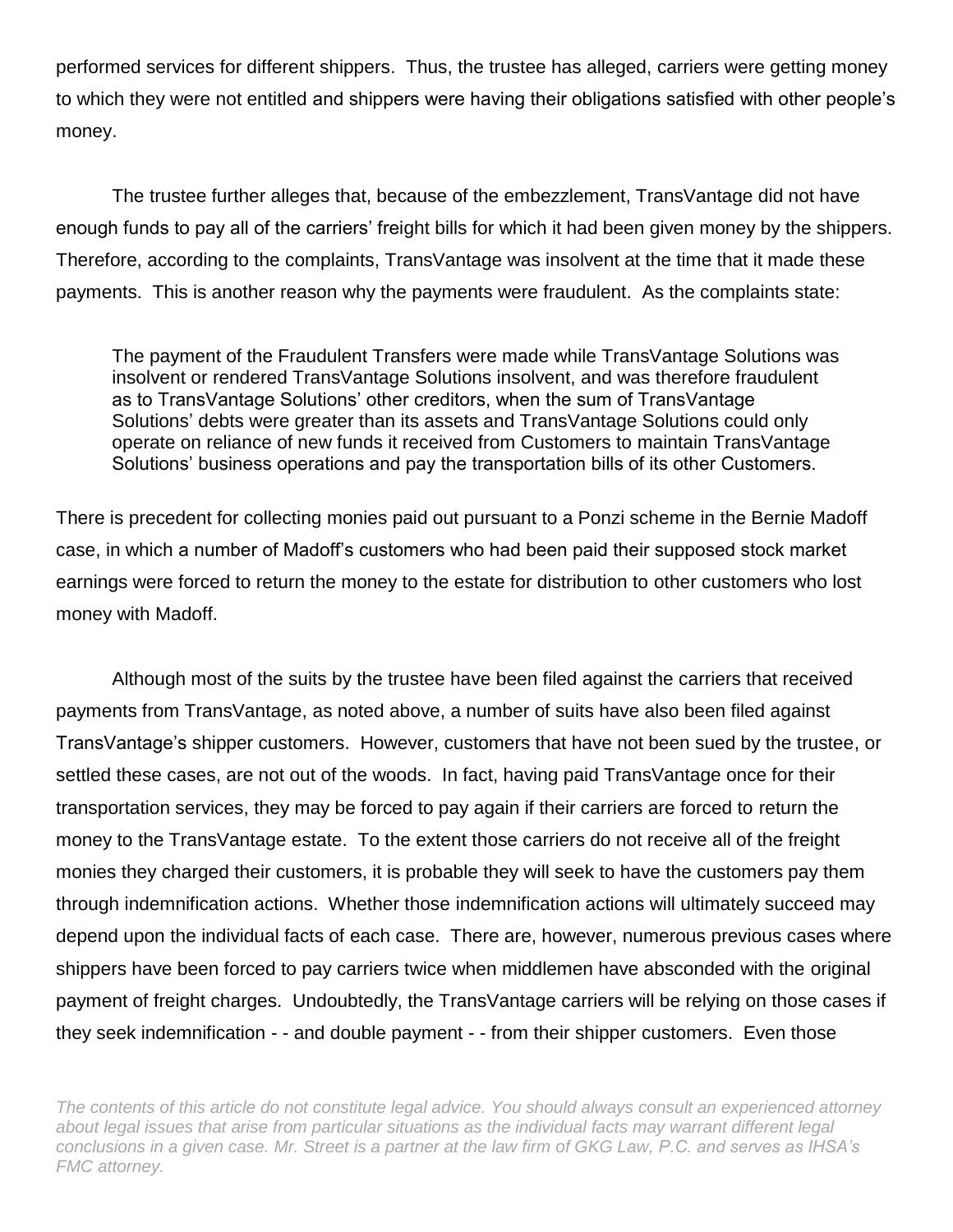performed services for different shippers. Thus, the trustee has alleged, carriers were getting money to which they were not entitled and shippers were having their obligations satisfied with other people's money.

The trustee further alleges that, because of the embezzlement, TransVantage did not have enough funds to pay all of the carriers' freight bills for which it had been given money by the shippers. Therefore, according to the complaints, TransVantage was insolvent at the time that it made these payments. This is another reason why the payments were fraudulent. As the complaints state:

The payment of the Fraudulent Transfers were made while TransVantage Solutions was insolvent or rendered TransVantage Solutions insolvent, and was therefore fraudulent as to TransVantage Solutions' other creditors, when the sum of TransVantage Solutions' debts were greater than its assets and TransVantage Solutions could only operate on reliance of new funds it received from Customers to maintain TransVantage Solutions' business operations and pay the transportation bills of its other Customers.

There is precedent for collecting monies paid out pursuant to a Ponzi scheme in the Bernie Madoff case, in which a number of Madoff's customers who had been paid their supposed stock market earnings were forced to return the money to the estate for distribution to other customers who lost money with Madoff.

Although most of the suits by the trustee have been filed against the carriers that received payments from TransVantage, as noted above, a number of suits have also been filed against TransVantage's shipper customers. However, customers that have not been sued by the trustee, or settled these cases, are not out of the woods. In fact, having paid TransVantage once for their transportation services, they may be forced to pay again if their carriers are forced to return the money to the TransVantage estate. To the extent those carriers do not receive all of the freight monies they charged their customers, it is probable they will seek to have the customers pay them through indemnification actions. Whether those indemnification actions will ultimately succeed may depend upon the individual facts of each case. There are, however, numerous previous cases where shippers have been forced to pay carriers twice when middlemen have absconded with the original payment of freight charges. Undoubtedly, the TransVantage carriers will be relying on those cases if they seek indemnification - - and double payment - - from their shipper customers. Even those

*The contents of this article do not constitute legal advice. You should always consult an experienced attorney*  about legal issues that arise from particular situations as the individual facts may warrant different legal *conclusions in a given case. Mr. Street is a partner at the law firm of GKG Law, P.C. and serves as IHSA's FMC attorney.*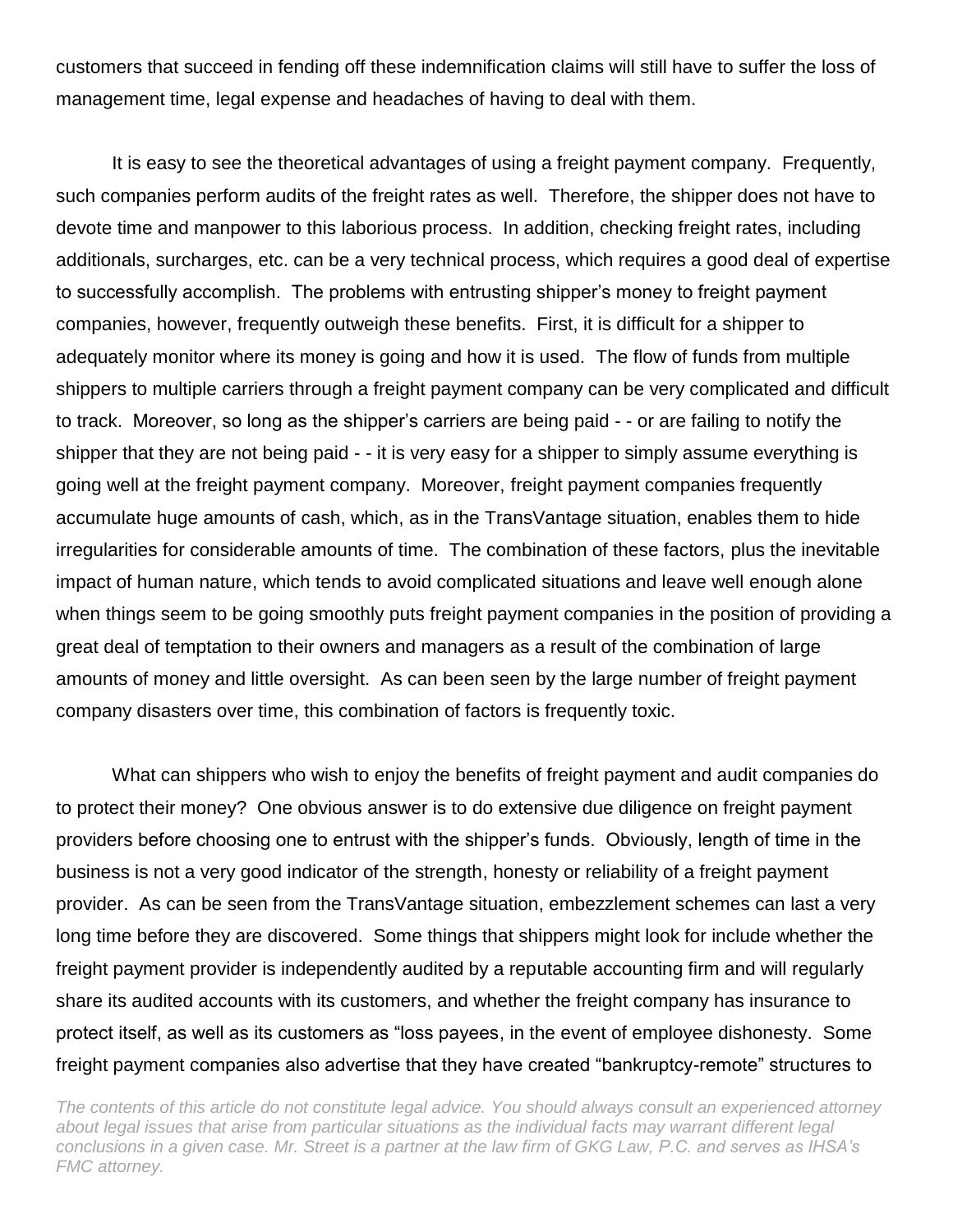customers that succeed in fending off these indemnification claims will still have to suffer the loss of management time, legal expense and headaches of having to deal with them.

It is easy to see the theoretical advantages of using a freight payment company. Frequently, such companies perform audits of the freight rates as well. Therefore, the shipper does not have to devote time and manpower to this laborious process. In addition, checking freight rates, including additionals, surcharges, etc. can be a very technical process, which requires a good deal of expertise to successfully accomplish. The problems with entrusting shipper's money to freight payment companies, however, frequently outweigh these benefits. First, it is difficult for a shipper to adequately monitor where its money is going and how it is used. The flow of funds from multiple shippers to multiple carriers through a freight payment company can be very complicated and difficult to track. Moreover, so long as the shipper's carriers are being paid - - or are failing to notify the shipper that they are not being paid - - it is very easy for a shipper to simply assume everything is going well at the freight payment company. Moreover, freight payment companies frequently accumulate huge amounts of cash, which, as in the TransVantage situation, enables them to hide irregularities for considerable amounts of time. The combination of these factors, plus the inevitable impact of human nature, which tends to avoid complicated situations and leave well enough alone when things seem to be going smoothly puts freight payment companies in the position of providing a great deal of temptation to their owners and managers as a result of the combination of large amounts of money and little oversight. As can been seen by the large number of freight payment company disasters over time, this combination of factors is frequently toxic.

What can shippers who wish to enjoy the benefits of freight payment and audit companies do to protect their money? One obvious answer is to do extensive due diligence on freight payment providers before choosing one to entrust with the shipper's funds. Obviously, length of time in the business is not a very good indicator of the strength, honesty or reliability of a freight payment provider. As can be seen from the TransVantage situation, embezzlement schemes can last a very long time before they are discovered. Some things that shippers might look for include whether the freight payment provider is independently audited by a reputable accounting firm and will regularly share its audited accounts with its customers, and whether the freight company has insurance to protect itself, as well as its customers as "loss payees, in the event of employee dishonesty. Some freight payment companies also advertise that they have created "bankruptcy-remote" structures to

*The contents of this article do not constitute legal advice. You should always consult an experienced attorney about legal issues that arise from particular situations as the individual facts may warrant different legal conclusions in a given case. Mr. Street is a partner at the law firm of GKG Law, P.C. and serves as IHSA's FMC attorney.*